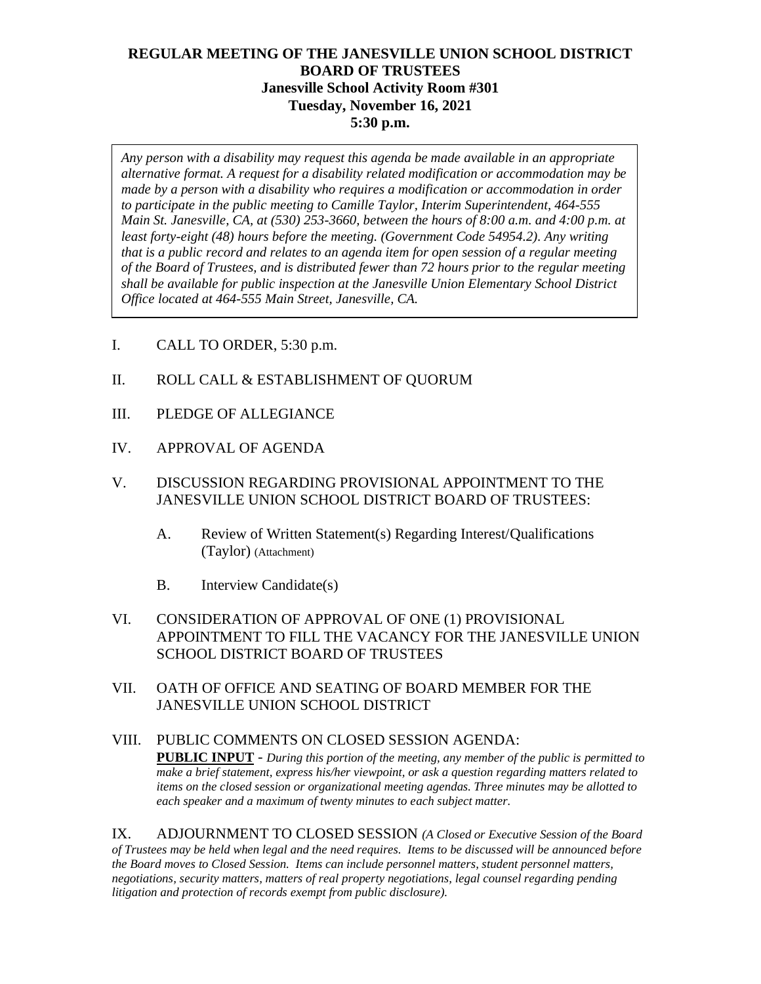# **REGULAR MEETING OF THE JANESVILLE UNION SCHOOL DISTRICT BOARD OF TRUSTEES Janesville School Activity Room #301 Tuesday, November 16, 2021 5:30 p.m.**

*Any person with a disability may request this agenda be made available in an appropriate alternative format. A request for a disability related modification or accommodation may be made by a person with a disability who requires a modification or accommodation in order to participate in the public meeting to Camille Taylor, Interim Superintendent, 464-555 Main St. Janesville, CA, at (530) 253-3660, between the hours of 8:00 a.m. and 4:00 p.m. at least forty-eight (48) hours before the meeting. (Government Code 54954.2). Any writing that is a public record and relates to an agenda item for open session of a regular meeting of the Board of Trustees, and is distributed fewer than 72 hours prior to the regular meeting shall be available for public inspection at the Janesville Union Elementary School District Office located at 464-555 Main Street, Janesville, CA.* 

- I. CALL TO ORDER, 5:30 p.m.
- II. ROLL CALL & ESTABLISHMENT OF QUORUM
- III. PLEDGE OF ALLEGIANCE
- IV. APPROVAL OF AGENDA
- V. DISCUSSION REGARDING PROVISIONAL APPOINTMENT TO THE JANESVILLE UNION SCHOOL DISTRICT BOARD OF TRUSTEES:
	- A. Review of Written Statement(s) Regarding Interest/Qualifications (Taylor) (Attachment)
	- B. Interview Candidate(s)
- VI. CONSIDERATION OF APPROVAL OF ONE (1) PROVISIONAL APPOINTMENT TO FILL THE VACANCY FOR THE JANESVILLE UNION SCHOOL DISTRICT BOARD OF TRUSTEES
- VII. OATH OF OFFICE AND SEATING OF BOARD MEMBER FOR THE JANESVILLE UNION SCHOOL DISTRICT

#### VIII. PUBLIC COMMENTS ON CLOSED SESSION AGENDA: **PUBLIC INPUT** - *During this portion of the meeting, any member of the public is permitted to make a brief statement, express his/her viewpoint, or ask a question regarding matters related to items on the closed session or organizational meeting agendas. Three minutes may be allotted to each speaker and a maximum of twenty minutes to each subject matter.*

IX. ADJOURNMENT TO CLOSED SESSION *(A Closed or Executive Session of the Board of Trustees may be held when legal and the need requires. Items to be discussed will be announced before the Board moves to Closed Session. Items can include personnel matters, student personnel matters, negotiations, security matters, matters of real property negotiations, legal counsel regarding pending litigation and protection of records exempt from public disclosure).*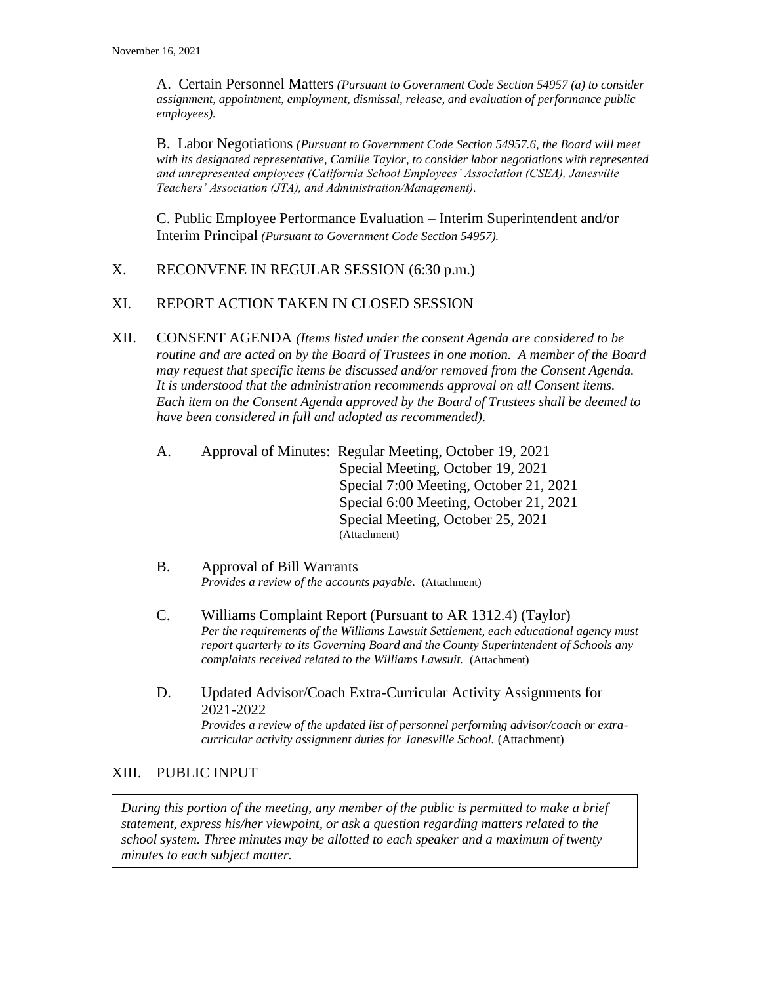A. Certain Personnel Matters *(Pursuant to Government Code Section 54957 (a) to consider assignment, appointment, employment, dismissal, release, and evaluation of performance public employees).*

B. Labor Negotiations *(Pursuant to Government Code Section 54957.6, the Board will meet with its designated representative, Camille Taylor, to consider labor negotiations with represented and unrepresented employees (California School Employees' Association (CSEA), Janesville Teachers' Association (JTA), and Administration/Management).*

C. Public Employee Performance Evaluation – Interim Superintendent and/or Interim Principal *(Pursuant to Government Code Section 54957).*

### X. RECONVENE IN REGULAR SESSION (6:30 p.m.)

## XI. REPORT ACTION TAKEN IN CLOSED SESSION

- XII. CONSENT AGENDA *(Items listed under the consent Agenda are considered to be routine and are acted on by the Board of Trustees in one motion. A member of the Board may request that specific items be discussed and/or removed from the Consent Agenda. It is understood that the administration recommends approval on all Consent items. Each item on the Consent Agenda approved by the Board of Trustees shall be deemed to have been considered in full and adopted as recommended).*
	- A. Approval of Minutes: Regular Meeting, October 19, 2021 Special Meeting, October 19, 2021 Special 7:00 Meeting, October 21, 2021 Special 6:00 Meeting, October 21, 2021 Special Meeting, October 25, 2021 (Attachment)
	- B. Approval of Bill Warrants *Provides a review of the accounts payable.* (Attachment)
	- C. Williams Complaint Report (Pursuant to AR 1312.4) (Taylor) *Per the requirements of the Williams Lawsuit Settlement, each educational agency must report quarterly to its Governing Board and the County Superintendent of Schools any complaints received related to the Williams Lawsuit.* (Attachment)
	- D. Updated Advisor/Coach Extra-Curricular Activity Assignments for 2021-2022 *Provides a review of the updated list of personnel performing advisor/coach or extracurricular activity assignment duties for Janesville School.* (Attachment)

### XIII. PUBLIC INPUT

*During this portion of the meeting, any member of the public is permitted to make a brief statement, express his/her viewpoint, or ask a question regarding matters related to the school system. Three minutes may be allotted to each speaker and a maximum of twenty minutes to each subject matter.*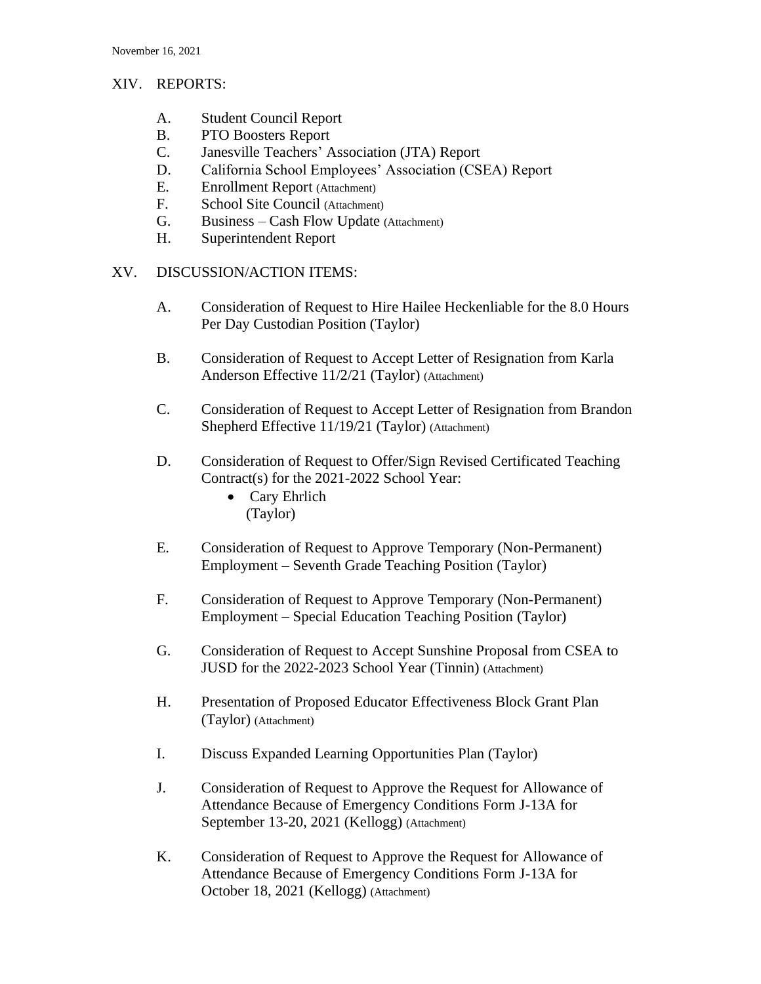## XIV. REPORTS:

- A. Student Council Report
- B. PTO Boosters Report
- C. Janesville Teachers' Association (JTA) Report
- D. California School Employees' Association (CSEA) Report
- E. Enrollment Report (Attachment)
- F. School Site Council (Attachment)
- G. Business Cash Flow Update (Attachment)
- H. Superintendent Report
- XV. DISCUSSION/ACTION ITEMS:
	- A. Consideration of Request to Hire Hailee Heckenliable for the 8.0 Hours Per Day Custodian Position (Taylor)
	- B. Consideration of Request to Accept Letter of Resignation from Karla Anderson Effective 11/2/21 (Taylor) (Attachment)
	- C. Consideration of Request to Accept Letter of Resignation from Brandon Shepherd Effective 11/19/21 (Taylor) (Attachment)
	- D. Consideration of Request to Offer/Sign Revised Certificated Teaching Contract(s) for the 2021-2022 School Year:
		- Cary Ehrlich (Taylor)
	- E. Consideration of Request to Approve Temporary (Non-Permanent) Employment – Seventh Grade Teaching Position (Taylor)
	- F. Consideration of Request to Approve Temporary (Non-Permanent) Employment – Special Education Teaching Position (Taylor)
	- G. Consideration of Request to Accept Sunshine Proposal from CSEA to JUSD for the 2022-2023 School Year (Tinnin) (Attachment)
	- H. Presentation of Proposed Educator Effectiveness Block Grant Plan (Taylor) (Attachment)
	- I. Discuss Expanded Learning Opportunities Plan (Taylor)
	- J. Consideration of Request to Approve the Request for Allowance of Attendance Because of Emergency Conditions Form J-13A for September 13-20, 2021 (Kellogg) (Attachment)
	- K. Consideration of Request to Approve the Request for Allowance of Attendance Because of Emergency Conditions Form J-13A for October 18, 2021 (Kellogg) (Attachment)